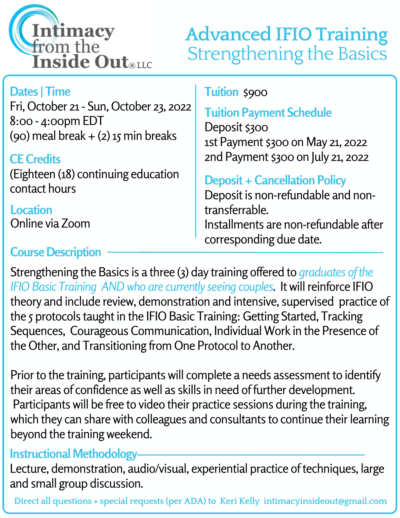

# **Advanced IFIO Training** Strengthening the Basics

## **Dates | Time**

Fri, October 21- Sun, October 23, 2022 8:00 - 4:00pm EDT (90) meal break  $+$  (2) 15 min breaks

#### **CE Credits**

(Eighteen (18) continuing education contact hours

**Location** Online via Zoom

### **Course Description**

#### **Tuition** \$900

## **Tuition Payment Schedule**

Deposit \$300 1st Payment \$300 on May 21, 2022 2nd Payment \$300 on July 21, 2022

## **Deposit + Cancellation Policy**

Deposit is non-refundable and nontransferrable. Installments are non-refundable after corresponding due date.

Strengthening the Basics is a three (3) day training offered to *graduates of the IFIO Basic Training ANDwho are currently seeing couples*. Itwillreinforce IFIO theory and include review, demonstration and intensive, supervised practice of the 5 protocols taught in the IFIO Basic Training: Getting Started, Tracking Sequences, Courageous Communication, Individual Work in the Presence of the Other, and Transitioning from One Protocol to Another.

Prior to the training, participants will complete a needs assessment to identify their areas of confidence as well as skills in need of further development. Participants will be free to video their practice sessions during the training, which they can share with colleagues and consultants to continue their learning beyond the training weekend.

#### **Instructional Methodology**

Lecture, demonstration, audio/visual, experiential practice of techniques, large and small group discussion.

**Direct all questions + special requests (per ADA) to Keri Kelly intimacyinsideout@gmail.com**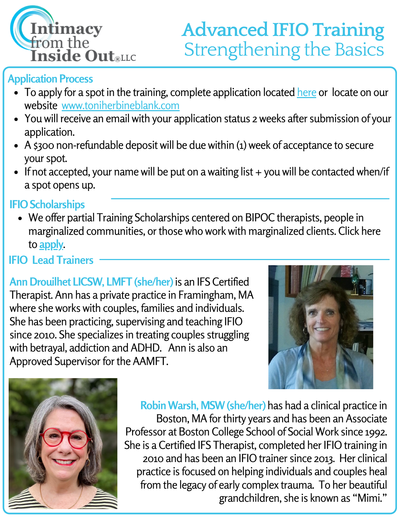

## **Advanced IFIO Training** Strengthening the Basics

#### **Application Process**

- To apply for a spot in the training, complete application located [here](https://docs.google.com/forms/d/e/1FAIpQLScn95ridixcHFB4sGoTtbhscSqnwDdTTMoVgC1OK1sg5ibPuA/viewform) or locate on our website [www.toniherbineblank.com](https://www.toniherbineblank.com/)
- You will receive an email with your application status 2 weeks after submission of your application.
- A \$300 non-refundable deposit will be due within (1) week of acceptance to secure your spot.
- If not accepted, your name will be put on a waiting list + you will be contacted when/if a spot opens up.

#### **IFIO Scholarships**

We offer partial Training Scholarships centered on BIPOC therapists, people in marginalized communities, or those who work with marginalized clients. Click here to **[apply](https://docs.google.com/forms/d/e/1FAIpQLSd3hXLzqXnE6AOW4121XkW2TkHsVOmjRiFednaohpBZ1oiWaQ/viewform)**.

### **IFIO Lead Trainers**

**AnnDrouilhet LICSW, LMFT (she/her)** is an IFS Certified Therapist. Ann has a private practice in Framingham, MA where she works with couples, families and individuals. She has been practicing, supervising and teaching IFIO since 2010. She specializes in treating couples struggling with betrayal, addiction and ADHD. Ann is also an Approved Supervisor for the AAMFT.





**Robin Warsh, MSW (she/her)** has had a clinical practice in Boston, MA for thirty years and has been an Associate Professor at Boston College School of Social Work since 1992. She is a Certified IFS Therapist, completed her IFIO training in 2010 and has been an IFIO trainer since 2013. Her clinical practice is focused on helping individuals and couples heal from the legacy of early complex trauma. To her beautiful grandchildren, she is known as "Mimi."